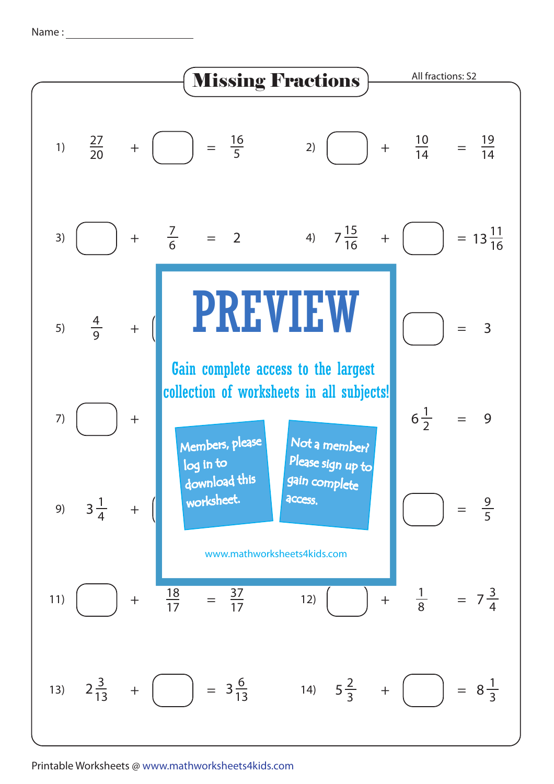